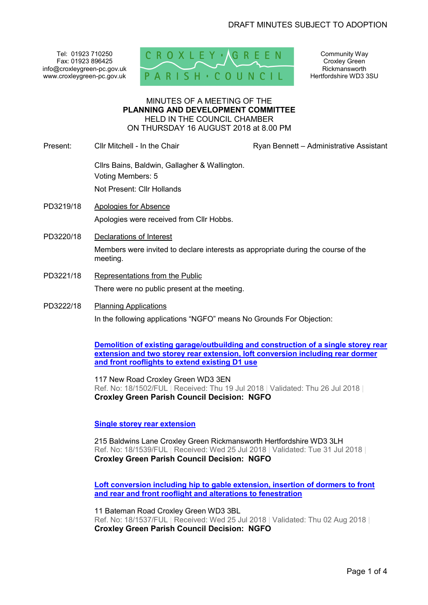Tel: 01923 710250 Fax: 01923 896425 info@croxleygreen-pc.gov.uk www.croxleygreen-pc.gov.uk



Community Way Croxley Green Rickmansworth Hertfordshire WD3 3SU

#### MINUTES OF A MEETING OF THE **PLANNING AND DEVELOPMENT COMMITTEE** HELD IN THE COUNCIL CHAMBER ON THURSDAY 16 AUGUST 2018 at 8.00 PM

Present: Cllr Mitchell - In the Chair **Ryan Bennett – Administrative Assistant** 

Cllrs Bains, Baldwin, Gallagher & Wallington. Voting Members: 5 Not Present: Cllr Hollands

- PD3219/18 Apologies for Absence Apologies were received from Cllr Hobbs.
- PD3220/18 Declarations of Interest Members were invited to declare interests as appropriate during the course of the meeting.
- PD3221/18 Representations from the Public There were no public present at the meeting.
- PD3222/18 Planning Applications

In the following applications "NGFO" means No Grounds For Objection:

**Demolition of existing garage/outbuilding and construction of a single storey rear extension and two storey rear extension, loft conversion including rear dormer and front rooflights to extend existing D1 use** 

117 New Road Croxley Green WD3 3EN Ref. No: 18/1502/FUL | Received: Thu 19 Jul 2018 | Validated: Thu 26 Jul 2018 | **Croxley Green Parish Council Decision: NGFO** 

**Single storey rear extension** 

215 Baldwins Lane Croxley Green Rickmansworth Hertfordshire WD3 3LH Ref. No: 18/1539/FUL | Received: Wed 25 Jul 2018 | Validated: Tue 31 Jul 2018 | **Croxley Green Parish Council Decision: NGFO** 

**Loft conversion including hip to gable extension, insertion of dormers to front and rear and front rooflight and alterations to fenestration**

11 Bateman Road Croxley Green WD3 3BL Ref. No: 18/1537/FUL | Received: Wed 25 Jul 2018 | Validated: Thu 02 Aug 2018 | **Croxley Green Parish Council Decision: NGFO**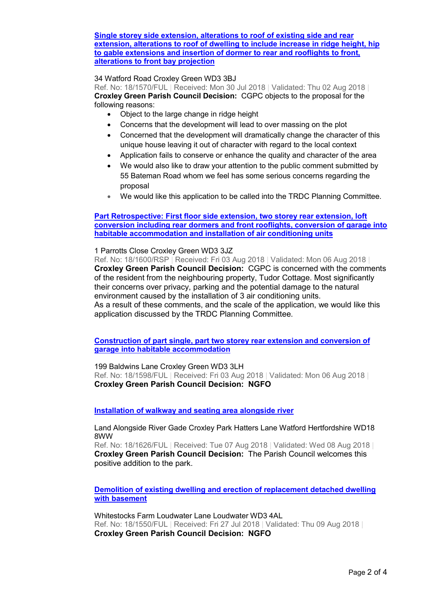## **Single storey side extension, alterations to roof of existing side and rear extension, alterations to roof of dwelling to include increase in ridge height, hip to gable extensions and insertion of dormer to rear and rooflights to front, alterations to front bay projection**

# 34 Watford Road Croxley Green WD3 3BJ

Ref. No: 18/1570/FUL | Received: Mon 30 Jul 2018 | Validated: Thu 02 Aug 2018 | **Croxley Green Parish Council Decision:** CGPC objects to the proposal for the following reasons:

- Object to the large change in ridge height
- Concerns that the development will lead to over massing on the plot
- Concerned that the development will dramatically change the character of this unique house leaving it out of character with regard to the local context
- Application fails to conserve or enhance the quality and character of the area
- We would also like to draw your attention to the public comment submitted by 55 Bateman Road whom we feel has some serious concerns regarding the proposal
- We would like this application to be called into the TRDC Planning Committee.

# **Part Retrospective: First floor side extension, two storey rear extension, loft conversion including rear dormers and front rooflights, conversion of garage into habitable accommodation and installation of air conditioning units**

#### 1 Parrotts Close Croxley Green WD3 3JZ

Ref. No: 18/1600/RSP | Received: Fri 03 Aug 2018 | Validated: Mon 06 Aug 2018 | **Croxley Green Parish Council Decision:** CGPC is concerned with the comments of the resident from the neighbouring property, Tudor Cottage. Most significantly their concerns over privacy, parking and the potential damage to the natural environment caused by the installation of 3 air conditioning units. As a result of these comments, and the scale of the application, we would like this application discussed by the TRDC Planning Committee.

**Construction of part single, part two storey rear extension and conversion of garage into habitable accommodation** 

199 Baldwins Lane Croxley Green WD3 3LH Ref. No: 18/1598/FUL | Received: Fri 03 Aug 2018 | Validated: Mon 06 Aug 2018 | **Croxley Green Parish Council Decision: NGFO** 

**Installation of walkway and seating area alongside river** 

Land Alongside River Gade Croxley Park Hatters Lane Watford Hertfordshire WD18 8WW

Ref. No: 18/1626/FUL | Received: Tue 07 Aug 2018 | Validated: Wed 08 Aug 2018 | **Croxley Green Parish Council Decision:** The Parish Council welcomes this positive addition to the park.

**Demolition of existing dwelling and erection of replacement detached dwelling with basement** 

Whitestocks Farm Loudwater Lane Loudwater WD3 4AL Ref. No: 18/1550/FUL | Received: Fri 27 Jul 2018 | Validated: Thu 09 Aug 2018 | **Croxley Green Parish Council Decision: NGFO**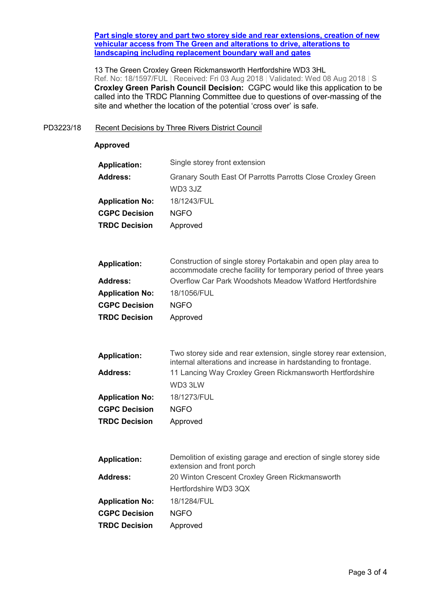#### **Part single storey and part two storey side and rear extensions, creation of new vehicular access from The Green and alterations to drive, alterations to landscaping including replacement boundary wall and gates**

13 The Green Croxley Green Rickmansworth Hertfordshire WD3 3HL Ref. No: 18/1597/FUL | Received: Fri 03 Aug 2018 | Validated: Wed 08 Aug 2018 | S **Croxley Green Parish Council Decision:** CGPC would like this application to be called into the TRDC Planning Committee due to questions of over-massing of the site and whether the location of the potential 'cross over' is safe.

## PD3223/18 Recent Decisions by Three Rivers District Council

### **Approved**

| <b>Application:</b>    | Single storey front extension                               |  |
|------------------------|-------------------------------------------------------------|--|
| <b>Address:</b>        | Granary South East Of Parrotts Parrotts Close Croxley Green |  |
|                        | WD3 3JZ                                                     |  |
| <b>Application No:</b> | 18/1243/FUL                                                 |  |
| <b>CGPC Decision</b>   | <b>NGFO</b>                                                 |  |
| <b>TRDC Decision</b>   | Approved                                                    |  |
|                        |                                                             |  |

| <b>Application:</b>    | Construction of single storey Portakabin and open play area to<br>accommodate creche facility for temporary period of three years |  |  |
|------------------------|-----------------------------------------------------------------------------------------------------------------------------------|--|--|
| <b>Address:</b>        | Overflow Car Park Woodshots Meadow Watford Hertfordshire                                                                          |  |  |
| <b>Application No:</b> | 18/1056/FUL                                                                                                                       |  |  |
| <b>CGPC Decision</b>   | <b>NGFO</b>                                                                                                                       |  |  |
| <b>TRDC Decision</b>   | Approved                                                                                                                          |  |  |

| <b>Application:</b>    | Two storey side and rear extension, single storey rear extension,<br>internal alterations and increase in hardstanding to frontage. |  |  |
|------------------------|-------------------------------------------------------------------------------------------------------------------------------------|--|--|
| <b>Address:</b>        | 11 Lancing Way Croxley Green Rickmansworth Hertfordshire                                                                            |  |  |
|                        | WD3 3LW                                                                                                                             |  |  |
| <b>Application No:</b> | 18/1273/FUL                                                                                                                         |  |  |
| <b>CGPC Decision</b>   | <b>NGFO</b>                                                                                                                         |  |  |
| <b>TRDC Decision</b>   | Approved                                                                                                                            |  |  |

| <b>Application:</b>    | Demolition of existing garage and erection of single storey side<br>extension and front porch |  |
|------------------------|-----------------------------------------------------------------------------------------------|--|
| <b>Address:</b>        | 20 Winton Crescent Croxley Green Rickmansworth                                                |  |
|                        | Hertfordshire WD3 3QX                                                                         |  |
| <b>Application No:</b> | 18/1284/FUL                                                                                   |  |
| <b>CGPC Decision</b>   | <b>NGFO</b>                                                                                   |  |
| <b>TRDC Decision</b>   | Approved                                                                                      |  |